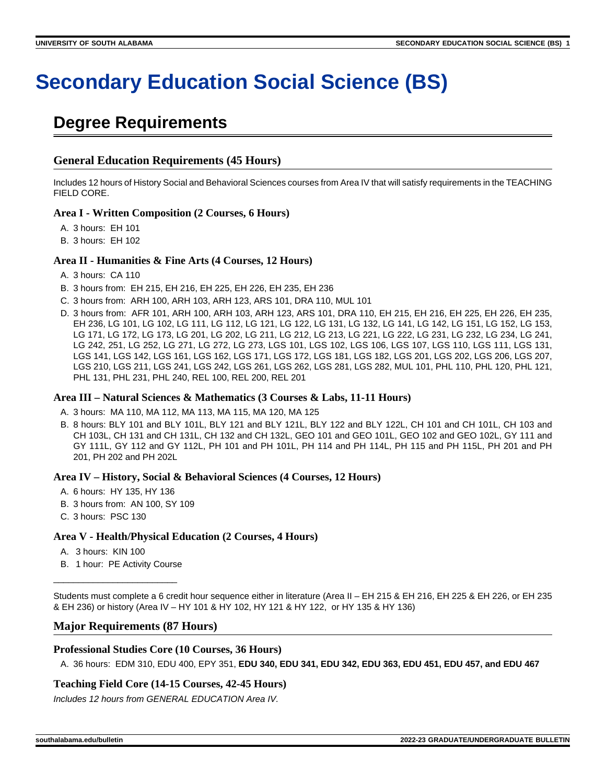# **Secondary Education Social Science (BS)**

## **Degree Requirements**

## **General Education Requirements (45 Hours)**

Includes 12 hours of History Social and Behavioral Sciences courses from Area IV that will satisfy requirements in the TEACHING FIELD CORE.

## **Area I - Written Composition (2 Courses, 6 Hours)**

- A. 3 hours: EH 101
- B. 3 hours: EH 102

## **Area II - Humanities & Fine Arts (4 Courses, 12 Hours)**

- A. 3 hours: CA 110
- B. 3 hours from: EH 215, EH 216, EH 225, EH 226, EH 235, EH 236
- C. 3 hours from: ARH 100, ARH 103, ARH 123, ARS 101, DRA 110, MUL 101
- D. 3 hours from: AFR 101, ARH 100, ARH 103, ARH 123, ARS 101, DRA 110, EH 215, EH 216, EH 225, EH 226, EH 235, EH 236, LG 101, LG 102, LG 111, LG 112, LG 121, LG 122, LG 131, LG 132, LG 141, LG 142, LG 151, LG 152, LG 153, LG 171, LG 172, LG 173, LG 201, LG 202, LG 211, LG 212, LG 213, LG 221, LG 222, LG 231, LG 232, LG 234, LG 241, LG 242, 251, LG 252, LG 271, LG 272, LG 273, LGS 101, LGS 102, LGS 106, LGS 107, LGS 110, LGS 111, LGS 131, LGS 141, LGS 142, LGS 161, LGS 162, LGS 171, LGS 172, LGS 181, LGS 182, LGS 201, LGS 202, LGS 206, LGS 207, LGS 210, LGS 211, LGS 241, LGS 242, LGS 261, LGS 262, LGS 281, LGS 282, MUL 101, PHL 110, PHL 120, PHL 121, PHL 131, PHL 231, PHL 240, REL 100, REL 200, REL 201

## **Area III – Natural Sciences & Mathematics (3 Courses & Labs, 11-11 Hours)**

- A. 3 hours: MA 110, MA 112, MA 113, MA 115, MA 120, MA 125
- B. 8 hours: BLY 101 and BLY 101L, BLY 121 and BLY 121L, BLY 122 and BLY 122L, CH 101 and CH 101L, CH 103 and CH 103L, CH 131 and CH 131L, CH 132 and CH 132L, GEO 101 and GEO 101L, GEO 102 and GEO 102L, GY 111 and GY 111L, GY 112 and GY 112L, PH 101 and PH 101L, PH 114 and PH 114L, PH 115 and PH 115L, PH 201 and PH 201, PH 202 and PH 202L

#### **Area IV – History, Social & Behavioral Sciences (4 Courses, 12 Hours)**

- A. 6 hours: HY 135, HY 136
- B. 3 hours from: AN 100, SY 109
- C. 3 hours: PSC 130

## **Area V - Health/Physical Education (2 Courses, 4 Hours)**

- A. 3 hours: KIN 100
- B. 1 hour: PE Activity Course

\_\_\_\_\_\_\_\_\_\_\_\_\_\_\_\_\_\_\_\_\_\_\_\_\_

Students must complete a 6 credit hour sequence either in literature (Area II – EH 215 & EH 216, EH 225 & EH 226, or EH 235 & EH 236) or history (Area IV – HY 101 & HY 102, HY 121 & HY 122, or HY 135 & HY 136)

## **Major Requirements (87 Hours)**

## **Professional Studies Core (10 Courses, 36 Hours)**

A. 36 hours: EDM 310, EDU 400, EPY 351, **EDU 340, EDU 341, EDU 342, EDU 363, EDU 451, EDU 457, and EDU 467**

## **Teaching Field Core (14-15 Courses, 42-45 Hours)**

Includes 12 hours from GENERAL EDUCATION Area IV.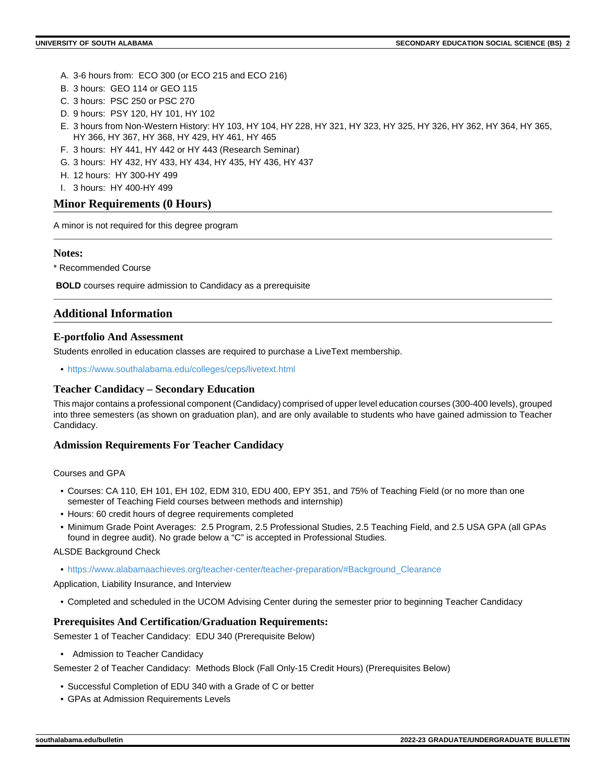- A. 3-6 hours from: ECO 300 (or ECO 215 and ECO 216)
- B. 3 hours: GEO 114 or GEO 115
- C. 3 hours: PSC 250 or PSC 270
- D. 9 hours: PSY 120, HY 101, HY 102
- E. 3 hours from Non-Western History: HY 103, HY 104, HY 228, HY 321, HY 323, HY 325, HY 326, HY 362, HY 364, HY 365, HY 366, HY 367, HY 368, HY 429, HY 461, HY 465
- F. 3 hours: HY 441, HY 442 or HY 443 (Research Seminar)
- G. 3 hours: HY 432, HY 433, HY 434, HY 435, HY 436, HY 437
- H. 12 hours: HY 300-HY 499
- I. 3 hours: HY 400-HY 499

## **Minor Requirements (0 Hours)**

A minor is not required for this degree program

#### **Notes:**

\* Recommended Course

 **BOLD** courses require admission to Candidacy as a prerequisite

## **Additional Information**

#### **E-portfolio And Assessment**

Students enrolled in education classes are required to purchase a LiveText membership.

• <https://www.southalabama.edu/colleges/ceps/livetext.html>

#### **Teacher Candidacy – Secondary Education**

This major contains a professional component (Candidacy) comprised of upper level education courses (300-400 levels), grouped into three semesters (as shown on graduation plan), and are only available to students who have gained admission to Teacher Candidacy.

#### **Admission Requirements For Teacher Candidacy**

Courses and GPA

- Courses: CA 110, EH 101, EH 102, EDM 310, EDU 400, EPY 351, and 75% of Teaching Field (or no more than one semester of Teaching Field courses between methods and internship)
- Hours: 60 credit hours of degree requirements completed
- Minimum Grade Point Averages: 2.5 Program, 2.5 Professional Studies, 2.5 Teaching Field, and 2.5 USA GPA (all GPAs found in degree audit). No grade below a "C" is accepted in Professional Studies.

#### ALSDE Background Check

• [https://www.alabamaachieves.org/teacher-center/teacher-preparation/#Background\\_Clearance](https://www.alabamaachieves.org/teacher-center/teacher-preparation/#Background_Clearance)

Application, Liability Insurance, and Interview

• Completed and scheduled in the UCOM Advising Center during the semester prior to beginning Teacher Candidacy

#### **Prerequisites And Certification/Graduation Requirements:**

Semester 1 of Teacher Candidacy: EDU 340 (Prerequisite Below)

• Admission to Teacher Candidacy

Semester 2 of Teacher Candidacy: Methods Block (Fall Only-15 Credit Hours) (Prerequisites Below)

- Successful Completion of EDU 340 with a Grade of C or better
- GPAs at Admission Requirements Levels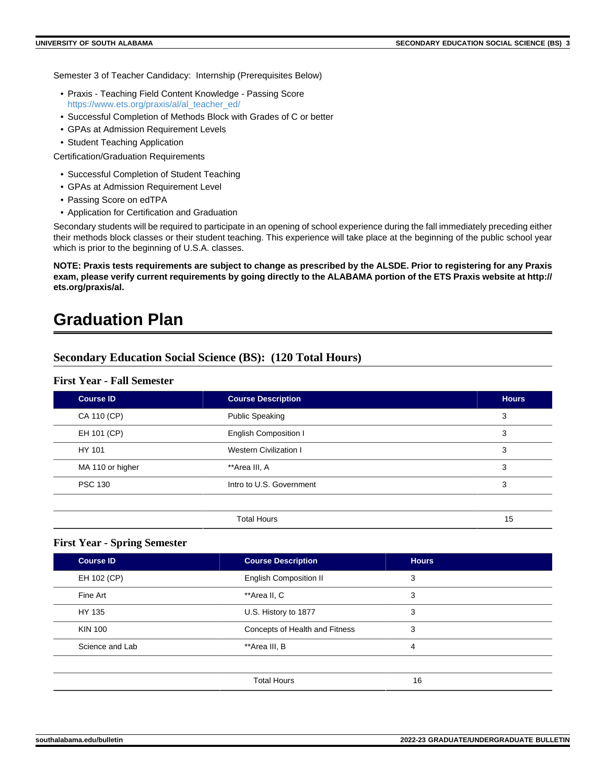Semester 3 of Teacher Candidacy: Internship (Prerequisites Below)

- Praxis Teaching Field Content Knowledge Passing Score [https://www.ets.org/praxis/al/al\\_teacher\\_ed/](https://www.ets.org/praxis/al/al_teacher_ed/)
- Successful Completion of Methods Block with Grades of C or better
- GPAs at Admission Requirement Levels
- Student Teaching Application

Certification/Graduation Requirements

- Successful Completion of Student Teaching
- GPAs at Admission Requirement Level
- Passing Score on edTPA
- Application for Certification and Graduation

Secondary students will be required to participate in an opening of school experience during the fall immediately preceding either their methods block classes or their student teaching. This experience will take place at the beginning of the public school year which is prior to the beginning of U.S.A. classes.

**NOTE: Praxis tests requirements are subject to change as prescribed by the ALSDE. Prior to registering for any Praxis exam, please verify current requirements by going directly to the ALABAMA portion of the ETS Praxis website at http:// ets.org/praxis/al.**

## **Graduation Plan**

## **Secondary Education Social Science (BS): (120 Total Hours)**

#### **First Year - Fall Semester**

| <b>Course ID</b> | <b>Course Description</b>     | <b>Hours</b> |
|------------------|-------------------------------|--------------|
| CA 110 (CP)      | <b>Public Speaking</b>        | 3            |
| EH 101 (CP)      | <b>English Composition I</b>  | 3            |
| HY 101           | <b>Western Civilization I</b> | 3            |
| MA 110 or higher | **Area III, A                 | 3            |
| <b>PSC 130</b>   | Intro to U.S. Government      | 3            |
|                  |                               |              |
|                  | <b>Total Hours</b>            | 15           |

#### **First Year - Spring Semester**

| <b>Course ID</b> | <b>Course Description</b>      | <b>Hours</b> |  |
|------------------|--------------------------------|--------------|--|
| EH 102 (CP)      | <b>English Composition II</b>  | 3            |  |
| Fine Art         | **Area II, C                   | 3            |  |
| HY 135           | U.S. History to 1877           | 3            |  |
| <b>KIN 100</b>   | Concepts of Health and Fitness | 3            |  |
| Science and Lab  | **Area III, B                  | 4            |  |
|                  |                                |              |  |
|                  | <b>Total Hours</b>             | 16           |  |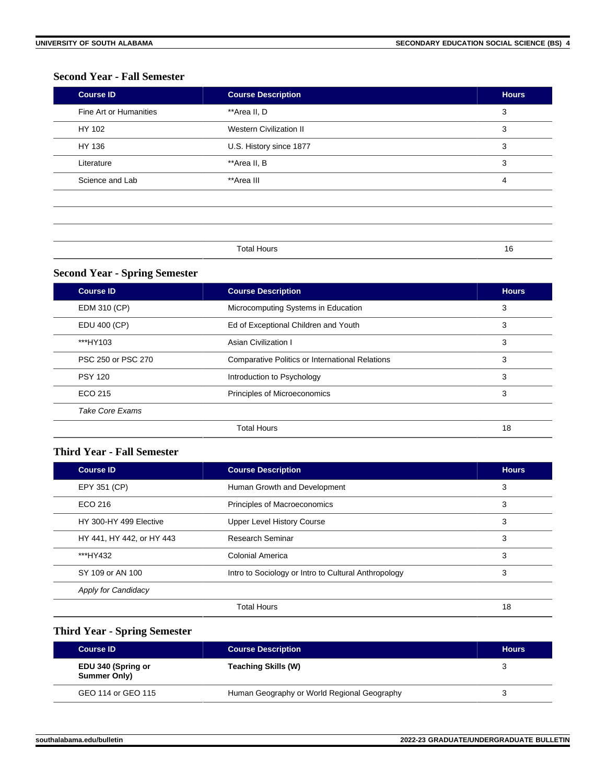## **Second Year - Fall Semester**

| <b>Course ID</b>       | <b>Course Description</b>      | <b>Hours</b>   |
|------------------------|--------------------------------|----------------|
| Fine Art or Humanities | **Area II, D                   | 3              |
| HY 102                 | <b>Western Civilization II</b> | 3              |
| HY 136                 | U.S. History since 1877        | 3              |
| Literature             | **Area II, B                   | 3              |
| Science and Lab        | **Area III                     | $\overline{4}$ |
|                        |                                |                |
|                        |                                |                |
|                        |                                |                |

Total Hours 16

## **Second Year - Spring Semester**

| <b>Course ID</b>       | <b>Course Description</b>                              | <b>Hours</b> |
|------------------------|--------------------------------------------------------|--------------|
| EDM 310 (CP)           | Microcomputing Systems in Education                    | 3            |
| EDU 400 (CP)           | Ed of Exceptional Children and Youth                   |              |
| ***HY103               | 3<br>Asian Civilization I                              |              |
| PSC 250 or PSC 270     | <b>Comparative Politics or International Relations</b> | 3            |
| <b>PSY 120</b>         | Introduction to Psychology                             | 3            |
| ECO 215                | Principles of Microeconomics                           | 3            |
| <b>Take Core Exams</b> |                                                        |              |
|                        | <b>Total Hours</b>                                     | 18           |

## **Third Year - Fall Semester**

| <b>Course ID</b>           | <b>Course Description</b>                            | <b>Hours</b> |
|----------------------------|------------------------------------------------------|--------------|
| EPY 351 (CP)               | Human Growth and Development                         | 3            |
| ECO 216                    | <b>Principles of Macroeconomics</b>                  | 3            |
| HY 300-HY 499 Elective     | <b>Upper Level History Course</b>                    | 3            |
| HY 441, HY 442, or HY 443  | Research Seminar                                     | 3            |
| ***HY432                   | Colonial America                                     | 3            |
| SY 109 or AN 100           | Intro to Sociology or Intro to Cultural Anthropology | 3            |
| <b>Apply for Candidacy</b> |                                                      |              |
|                            | <b>Total Hours</b>                                   | 18           |

## **Third Year - Spring Semester**

| <b>Course ID</b>                   | <b>Course Description</b>                   | <b>Hours</b> |
|------------------------------------|---------------------------------------------|--------------|
| EDU 340 (Spring or<br>Summer Only) | Teaching Skills (W)                         |              |
| GEO 114 or GEO 115                 | Human Geography or World Regional Geography |              |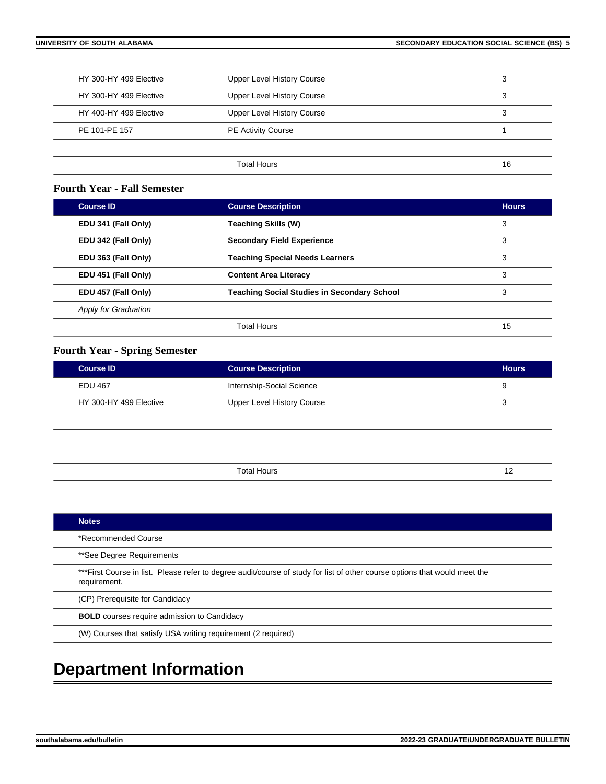| HY 300-HY 499 Elective | <b>Upper Level History Course</b> | 3  |
|------------------------|-----------------------------------|----|
| HY 300-HY 499 Elective | <b>Upper Level History Course</b> | 3  |
| HY 400-HY 499 Elective | <b>Upper Level History Course</b> | 3  |
| PE 101-PE 157          | <b>PE Activity Course</b>         |    |
|                        |                                   |    |
|                        | Total Hours                       | 16 |

#### **Fourth Year - Fall Semester**

| <b>Course ID</b>            | <b>Course Description</b>                               | <b>Hours</b> |
|-----------------------------|---------------------------------------------------------|--------------|
| EDU 341 (Fall Only)         | Teaching Skills (W)                                     | 3            |
| EDU 342 (Fall Only)         | <b>Secondary Field Experience</b>                       | 3            |
| EDU 363 (Fall Only)         | <b>Teaching Special Needs Learners</b>                  | 3            |
| EDU 451 (Fall Only)         | 3<br><b>Content Area Literacy</b>                       |              |
| EDU 457 (Fall Only)         | <b>Teaching Social Studies in Secondary School</b><br>3 |              |
| <b>Apply for Graduation</b> |                                                         |              |
|                             | <b>Total Hours</b>                                      | 15           |

## **Fourth Year - Spring Semester**

| <b>Course ID</b>       | <b>Course Description</b>  | <b>Hours</b> |
|------------------------|----------------------------|--------------|
| <b>EDU 467</b>         | Internship-Social Science  | 9            |
| HY 300-HY 499 Elective | Upper Level History Course |              |
|                        |                            |              |
|                        |                            |              |
|                        |                            |              |
|                        | <b>Total Hours</b>         | 12           |

| <b>Notes</b>                                                                                                                                |  |
|---------------------------------------------------------------------------------------------------------------------------------------------|--|
| *Recommended Course                                                                                                                         |  |
| **See Degree Requirements                                                                                                                   |  |
| *** First Course in list. Please refer to degree audit/course of study for list of other course options that would meet the<br>requirement. |  |
| (CP) Prerequisite for Candidacy                                                                                                             |  |
| <b>BOLD</b> courses require admission to Candidacy                                                                                          |  |
| (W) Courses that satisfy USA writing requirement (2 required)                                                                               |  |
|                                                                                                                                             |  |

## **Department Information**